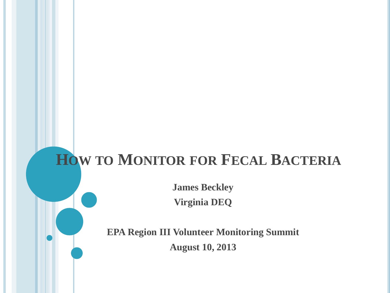# **HOW TO MONITOR FOR FECAL BACTERIA**

**James Beckley Virginia DEQ**

**EPA Region III Volunteer Monitoring Summit August 10, 2013**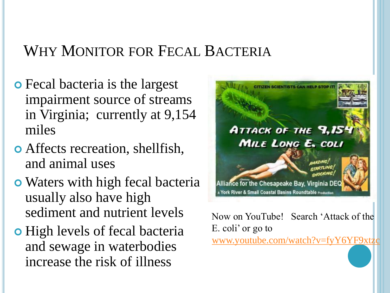### WHY MONITOR FOR FECAL BACTERIA

- Fecal bacteria is the largest impairment source of streams in Virginia; currently at 9,154 miles
- Affects recreation, shellfish, and animal uses
- Waters with high fecal bacteria usually also have high sediment and nutrient levels
- High levels of fecal bacteria and sewage in waterbodies increase the risk of illness



Now on YouTube! Search 'Attack of the E. coli' or go to [www.youtube.com/watch?v=fyY6YF9xtzc](https://www.youtube.com/watch?v=fyY6YF9xtzc)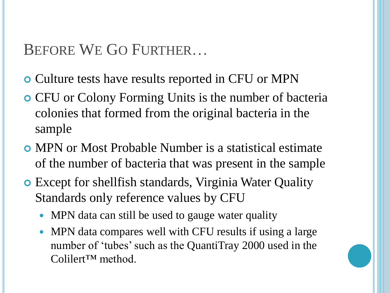### BEFORE WE GO FURTHER…

- Culture tests have results reported in CFU or MPN
- CFU or Colony Forming Units is the number of bacteria colonies that formed from the original bacteria in the sample
- MPN or Most Probable Number is a statistical estimate of the number of bacteria that was present in the sample
- Except for shellfish standards, Virginia Water Quality Standards only reference values by CFU
	- MPN data can still be used to gauge water quality
	- MPN data compares well with CFU results if using a large number of 'tubes' such as the QuantiTray 2000 used in the Colilert™ method.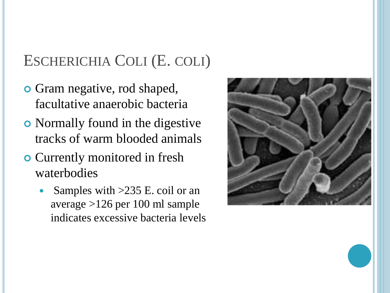# ESCHERICHIA COLI (E. COLI)

- Gram negative, rod shaped, facultative anaerobic bacteria
- Normally found in the digestive tracks of warm blooded animals
- Currently monitored in fresh waterbodies
	- Samples with >235 E. coil or an average >126 per 100 ml sample indicates excessive bacteria levels

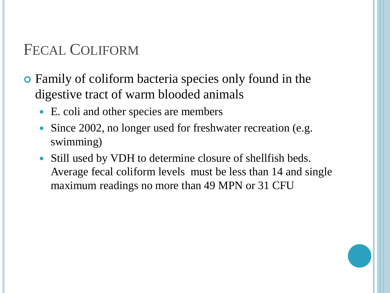## FECAL COLIFORM

 Family of coliform bacteria species only found in the digestive tract of warm blooded animals

- E. coli and other species are members
- Since 2002, no longer used for freshwater recreation (e.g. swimming)
- Still used by VDH to determine closure of shellfish beds. Average fecal coliform levels must be less than 14 and single maximum readings no more than 49 MPN or 31 CFU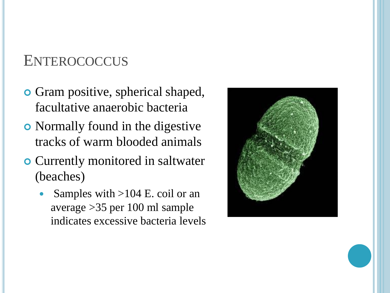#### **ENTEROCOCCUS**

- Gram positive, spherical shaped, facultative anaerobic bacteria
- Normally found in the digestive tracks of warm blooded animals
- Currently monitored in saltwater (beaches)
	- Samples with  $>104$  E. coil or an average >35 per 100 ml sample indicates excessive bacteria levels

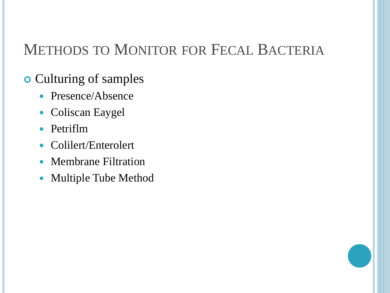# METHODS TO MONITOR FOR FECAL BACTERIA

#### Culturing of samples

- Presence/Absence
- Coliscan Eaygel
- Petriflm
- Colilert/Enterolert
- Membrane Filtration
- Multiple Tube Method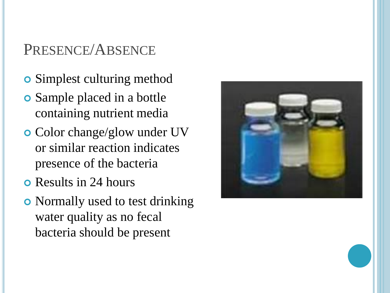#### PRESENCE/ABSENCE

- Simplest culturing method
- Sample placed in a bottle containing nutrient media
- **o** Color change/glow under UV or similar reaction indicates presence of the bacteria
- **o** Results in 24 hours
- Normally used to test drinking water quality as no fecal bacteria should be present

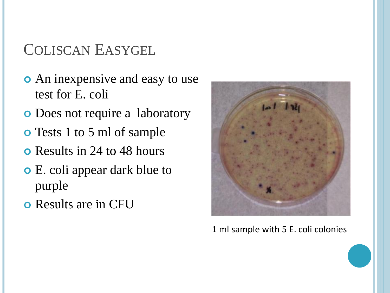### COLISCAN EASYGEL

- An inexpensive and easy to use test for E. coli
- Does not require a laboratory
- Tests 1 to 5 ml of sample
- **o** Results in 24 to 48 hours
- E. coli appear dark blue to purple
- Results are in CFU



1 ml sample with 5 E. coli colonies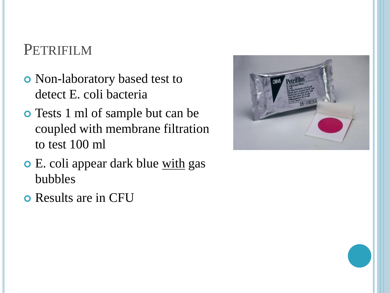#### PETRIFILM

- Non-laboratory based test to detect E. coli bacteria
- Tests 1 ml of sample but can be coupled with membrane filtration to test 100 ml
- E. coli appear dark blue with gas bubbles
- Results are in CFU

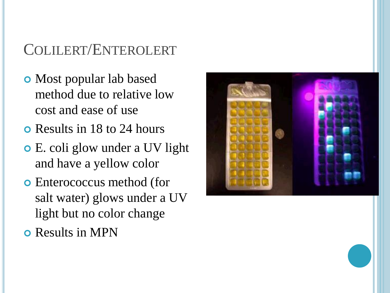# COLILERT/ENTEROLERT

- Most popular lab based method due to relative low cost and ease of use
- Results in 18 to 24 hours
- E. coli glow under a UV light and have a yellow color
- Enterococcus method (for salt water) glows under a UV light but no color change
- o Results in MPN

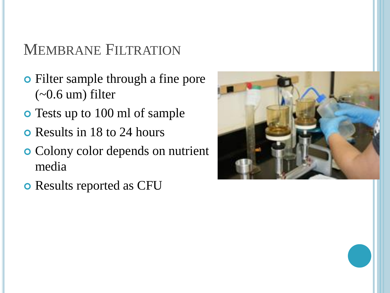### MEMBRANE FILTRATION

- Filter sample through a fine pore (~0.6 um) filter
- Tests up to 100 ml of sample
- Results in 18 to 24 hours
- Colony color depends on nutrient media
- Results reported as CFU

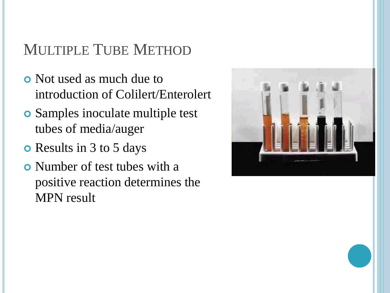## MULTIPLE TUBE METHOD

- Not used as much due to introduction of Colilert/Enterolert
- Samples inoculate multiple test tubes of media/auger
- Results in 3 to 5 days
- Number of test tubes with a positive reaction determines the MPN result

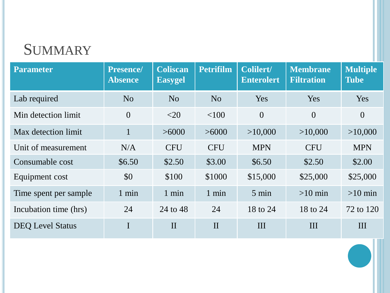### **SUMMARY**

| <b>Parameter</b>        | <b>Presence/</b><br><b>Absence</b> | <b>Coliscan</b><br><b>Easygel</b> | <b>Petrifilm</b> | Colilert/<br><b>Enterolert</b> | <b>Membrane</b><br><b>Filtration</b> | <b>Multiple</b><br><b>Tube</b> |
|-------------------------|------------------------------------|-----------------------------------|------------------|--------------------------------|--------------------------------------|--------------------------------|
| Lab required            | N <sub>o</sub>                     | N <sub>o</sub>                    | N <sub>o</sub>   | Yes                            | Yes                                  | Yes                            |
| Min detection limit     | $\overline{0}$                     | $<$ 20                            | < 100            | $\overline{0}$                 | $\overline{0}$                       | $\Omega$                       |
| Max detection limit     | $\mathbf{1}$                       | >6000                             | >6000            | >10,000                        | >10,000                              | >10,000                        |
| Unit of measurement     | N/A                                | <b>CFU</b>                        | <b>CFU</b>       | <b>MPN</b>                     | <b>CFU</b>                           | <b>MPN</b>                     |
| Consumable cost         | \$6.50                             | \$2.50                            | \$3.00           | \$6.50                         | \$2.50                               | \$2.00                         |
| Equipment cost          | \$0                                | \$100                             | \$1000           | \$15,000                       | \$25,000                             | \$25,000                       |
| Time spent per sample   | $1$ min                            | $1$ min                           | 1 min            | $5 \text{ min}$                | $>10$ min                            | $>10$ min                      |
| Incubation time (hrs)   | 24                                 | 24 to 48                          | 24               | 18 to 24                       | 18 to 24                             | 72 to 120                      |
| <b>DEQ Level Status</b> | I                                  | $\mathbf{I}$                      | $\prod$          | III                            | III                                  | III                            |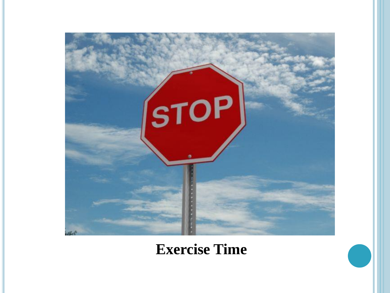

#### **Exercise Time**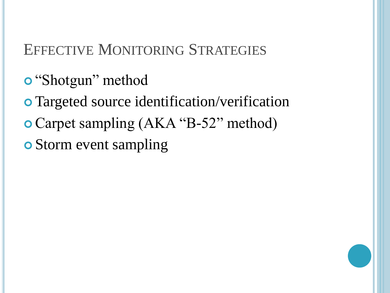### EFFECTIVE MONITORING STRATEGIES

- **o** "Shotgun" method
- Targeted source identification/verification
- Carpet sampling (AKA "B-52" method)
- **o** Storm event sampling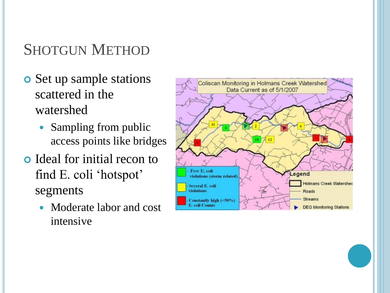### SHOTGUN METHOD

- **o** Set up sample stations scattered in the watershed
	- Sampling from public access points like bridges
- Ideal for initial recon to find E. coli 'hotspot' segments
	- Moderate labor and cost intensive

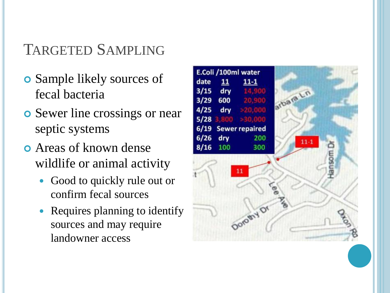### TARGETED SAMPLING

- Sample likely sources of fecal bacteria
- **o** Sewer line crossings or near septic systems
- Areas of known dense wildlife or animal activity
	- Good to quickly rule out or confirm fecal sources
	- Requires planning to identify sources and may require landowner access

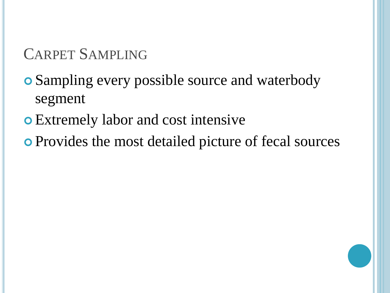# CARPET SAMPLING

- Sampling every possible source and waterbody segment
- Extremely labor and cost intensive
- Provides the most detailed picture of fecal sources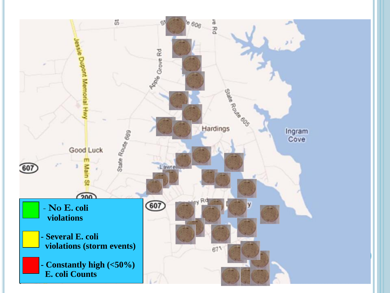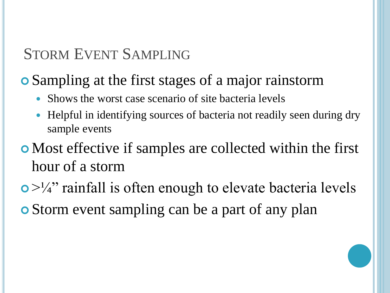# STORM EVENT SAMPLING

# Sampling at the first stages of a major rainstorm

- Shows the worst case scenario of site bacteria levels
- Helpful in identifying sources of bacteria not readily seen during dry sample events
- Most effective if samples are collected within the first hour of a storm
- $\bullet$  >¼" rainfall is often enough to elevate bacteria levels Storm event sampling can be a part of any plan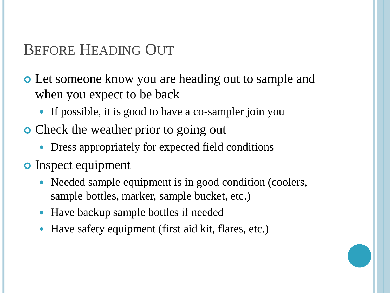## BEFORE HEADING OUT

 Let someone know you are heading out to sample and when you expect to be back

- If possible, it is good to have a co-sampler join you
- **Check the weather prior to going out** 
	- Dress appropriately for expected field conditions

#### o Inspect equipment

- Needed sample equipment is in good condition (coolers, sample bottles, marker, sample bucket, etc.)
- Have backup sample bottles if needed
- Have safety equipment (first aid kit, flares, etc.)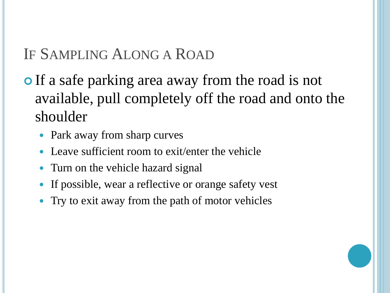# IF SAMPLING ALONG A ROAD

• If a safe parking area away from the road is not available, pull completely off the road and onto the shoulder

- Park away from sharp curves
- Leave sufficient room to exit/enter the vehicle
- Turn on the vehicle hazard signal
- If possible, wear a reflective or orange safety vest
- Try to exit away from the path of motor vehicles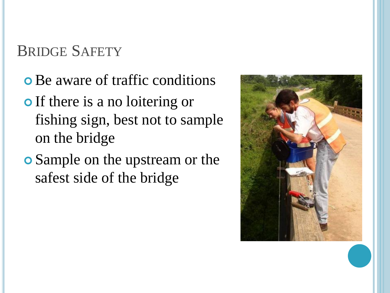# BRIDGE SAFETY

- Be aware of traffic conditions
- **o** If there is a no loitering or fishing sign, best not to sample on the bridge
- Sample on the upstream or the safest side of the bridge

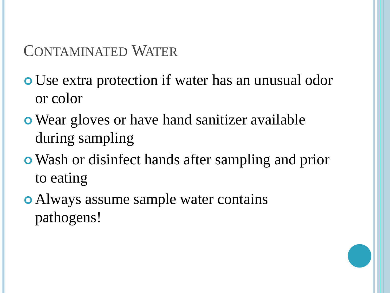# CONTAMINATED WATER

- Use extra protection if water has an unusual odor or color
- Wear gloves or have hand sanitizer available during sampling
- Wash or disinfect hands after sampling and prior to eating
- Always assume sample water contains pathogens!